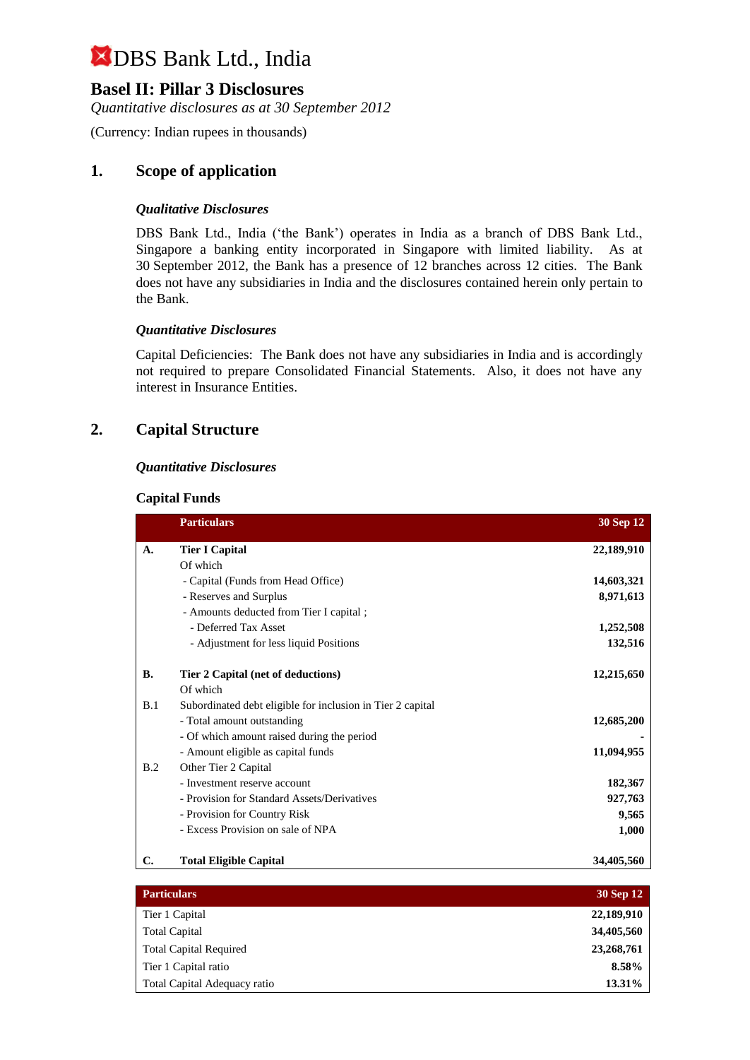## **Basel II: Pillar 3 Disclosures**

*Quantitative disclosures as at 30 September 2012*

(Currency: Indian rupees in thousands)

## **1. Scope of application**

#### *Qualitative Disclosures*

DBS Bank Ltd., India ('the Bank') operates in India as a branch of DBS Bank Ltd., Singapore a banking entity incorporated in Singapore with limited liability. As at 30 September 2012, the Bank has a presence of 12 branches across 12 cities. The Bank does not have any subsidiaries in India and the disclosures contained herein only pertain to the Bank.

#### *Quantitative Disclosures*

Capital Deficiencies: The Bank does not have any subsidiaries in India and is accordingly not required to prepare Consolidated Financial Statements. Also, it does not have any interest in Insurance Entities.

### **2. Capital Structure**

#### *Quantitative Disclosures*

#### **Capital Funds**

|           | <b>Particulars</b>                                         | 30 Sep 12  |
|-----------|------------------------------------------------------------|------------|
| A.        | <b>Tier I Capital</b>                                      | 22,189,910 |
|           | Of which                                                   |            |
|           | - Capital (Funds from Head Office)                         | 14,603,321 |
|           | - Reserves and Surplus                                     | 8,971,613  |
|           | - Amounts deducted from Tier I capital;                    |            |
|           | - Deferred Tax Asset                                       | 1,252,508  |
|           | - Adjustment for less liquid Positions                     | 132,516    |
| <b>B.</b> | Tier 2 Capital (net of deductions)                         | 12,215,650 |
|           | Of which                                                   |            |
| B.1       | Subordinated debt eligible for inclusion in Tier 2 capital |            |
|           | - Total amount outstanding                                 | 12,685,200 |
|           | - Of which amount raised during the period                 |            |
|           | - Amount eligible as capital funds                         | 11,094,955 |
| B.2       | Other Tier 2 Capital                                       |            |
|           | - Investment reserve account                               | 182,367    |
|           | - Provision for Standard Assets/Derivatives                | 927,763    |
|           | - Provision for Country Risk                               | 9,565      |
|           | - Excess Provision on sale of NPA                          | 1,000      |
| C.        | <b>Total Eligible Capital</b>                              | 34,405,560 |

| <b>Particulars</b>            | <b>30 Sep 12</b> |
|-------------------------------|------------------|
| Tier 1 Capital                | 22,189,910       |
| <b>Total Capital</b>          | 34,405,560       |
| <b>Total Capital Required</b> | 23,268,761       |
| Tier 1 Capital ratio          | 8.58%            |
| Total Capital Adequacy ratio  | 13.31%           |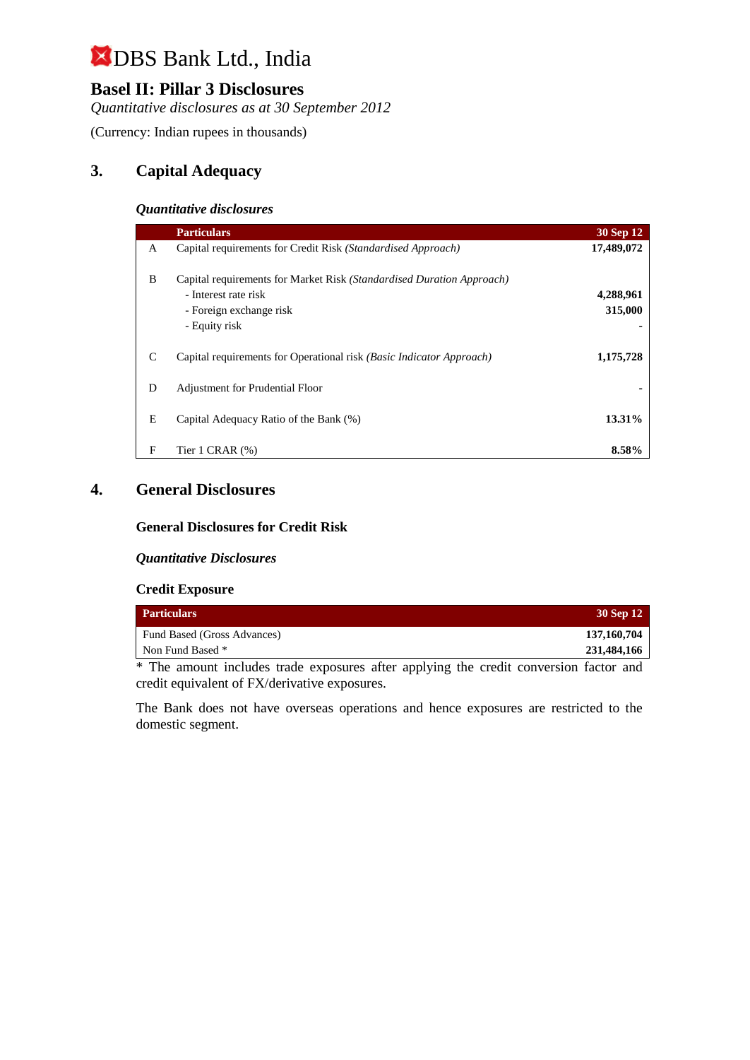## **Basel II: Pillar 3 Disclosures**

*Quantitative disclosures as at 30 September 2012*

(Currency: Indian rupees in thousands)

## **3. Capital Adequacy**

#### *Quantitative disclosures*

|               | <b>Particulars</b>                                                                                                                        | 30 Sep 12            |
|---------------|-------------------------------------------------------------------------------------------------------------------------------------------|----------------------|
| A             | Capital requirements for Credit Risk (Standardised Approach)                                                                              | 17,489,072           |
| B             | Capital requirements for Market Risk (Standardised Duration Approach)<br>- Interest rate risk<br>- Foreign exchange risk<br>- Equity risk | 4,288,961<br>315,000 |
| $\mathcal{C}$ | Capital requirements for Operational risk (Basic Indicator Approach)                                                                      | 1,175,728            |
| D             | Adjustment for Prudential Floor                                                                                                           |                      |
| E             | Capital Adequacy Ratio of the Bank (%)                                                                                                    | 13.31%               |
| F             | Tier $1$ CRAR $(\%)$                                                                                                                      | 8.58%                |

## **4. General Disclosures**

#### **General Disclosures for Credit Risk**

#### *Quantitative Disclosures*

#### **Credit Exposure**

| <b>Particulars</b>          | 30 Sep 12   |
|-----------------------------|-------------|
| Fund Based (Gross Advances) | 137,160,704 |
| Non Fund Based *            | 231,484,166 |

\* The amount includes trade exposures after applying the credit conversion factor and credit equivalent of FX/derivative exposures.

The Bank does not have overseas operations and hence exposures are restricted to the domestic segment.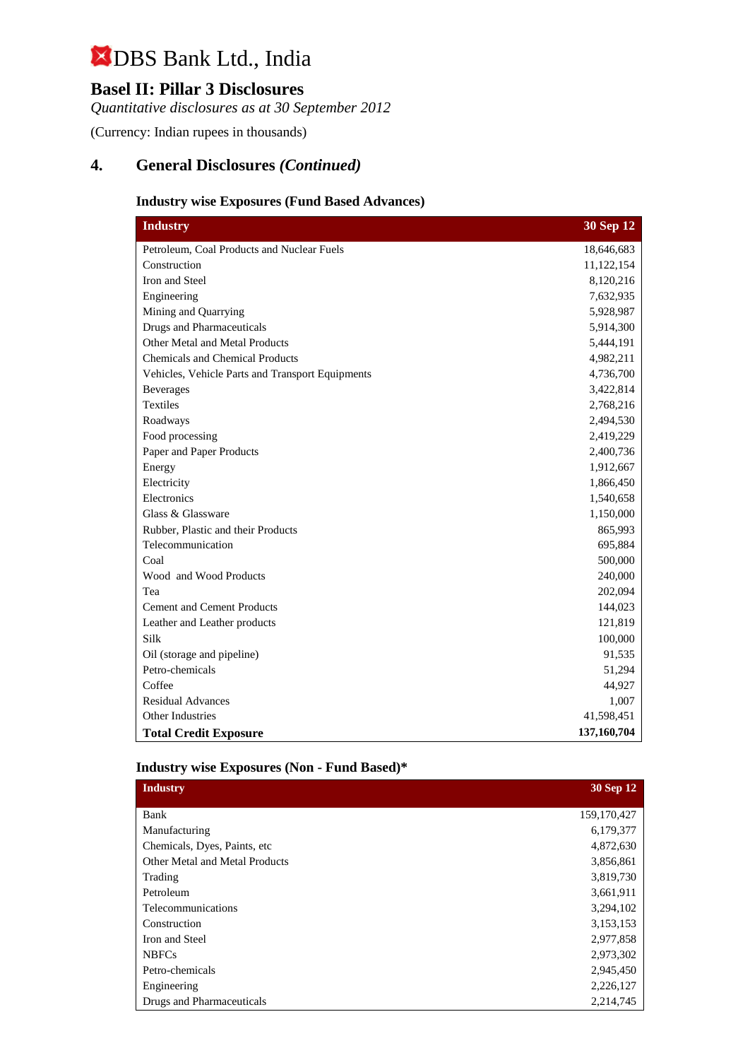## **Basel II: Pillar 3 Disclosures**

*Quantitative disclosures as at 30 September 2012*

(Currency: Indian rupees in thousands)

## **4. General Disclosures** *(Continued)*

#### **Industry wise Exposures (Fund Based Advances)**

| <b>Industry</b>                                  | 30 Sep 12   |
|--------------------------------------------------|-------------|
| Petroleum, Coal Products and Nuclear Fuels       | 18,646,683  |
| Construction                                     | 11,122,154  |
| Iron and Steel                                   | 8,120,216   |
| Engineering                                      | 7,632,935   |
| Mining and Quarrying                             | 5,928,987   |
| <b>Drugs and Pharmaceuticals</b>                 | 5,914,300   |
| Other Metal and Metal Products                   | 5,444,191   |
| <b>Chemicals and Chemical Products</b>           | 4,982,211   |
| Vehicles, Vehicle Parts and Transport Equipments | 4,736,700   |
| <b>Beverages</b>                                 | 3,422,814   |
| <b>Textiles</b>                                  | 2,768,216   |
| Roadways                                         | 2,494,530   |
| Food processing                                  | 2,419,229   |
| Paper and Paper Products                         | 2,400,736   |
| Energy                                           | 1,912,667   |
| Electricity                                      | 1,866,450   |
| Electronics                                      | 1,540,658   |
| Glass & Glassware                                | 1,150,000   |
| Rubber, Plastic and their Products               | 865,993     |
| Telecommunication                                | 695,884     |
| Coal                                             | 500,000     |
| Wood and Wood Products                           | 240,000     |
| Tea                                              | 202,094     |
| <b>Cement and Cement Products</b>                | 144,023     |
| Leather and Leather products                     | 121,819     |
| Silk                                             | 100,000     |
| Oil (storage and pipeline)                       | 91,535      |
| Petro-chemicals                                  | 51,294      |
| Coffee                                           | 44,927      |
| <b>Residual Advances</b>                         | 1,007       |
| <b>Other Industries</b>                          | 41,598,451  |
| <b>Total Credit Exposure</b>                     | 137,160,704 |

#### **Industry wise Exposures (Non - Fund Based)\***

| <b>Industry</b>                       | 30 Sep 12   |
|---------------------------------------|-------------|
|                                       |             |
| Bank                                  | 159,170,427 |
| Manufacturing                         | 6,179,377   |
| Chemicals, Dyes, Paints, etc.         | 4,872,630   |
| <b>Other Metal and Metal Products</b> | 3,856,861   |
| Trading                               | 3,819,730   |
| Petroleum                             | 3,661,911   |
| Telecommunications                    | 3,294,102   |
| Construction                          | 3,153,153   |
| Iron and Steel                        | 2,977,858   |
| <b>NBFCs</b>                          | 2,973,302   |
| Petro-chemicals                       | 2,945,450   |
| Engineering                           | 2,226,127   |
| Drugs and Pharmaceuticals             | 2,214,745   |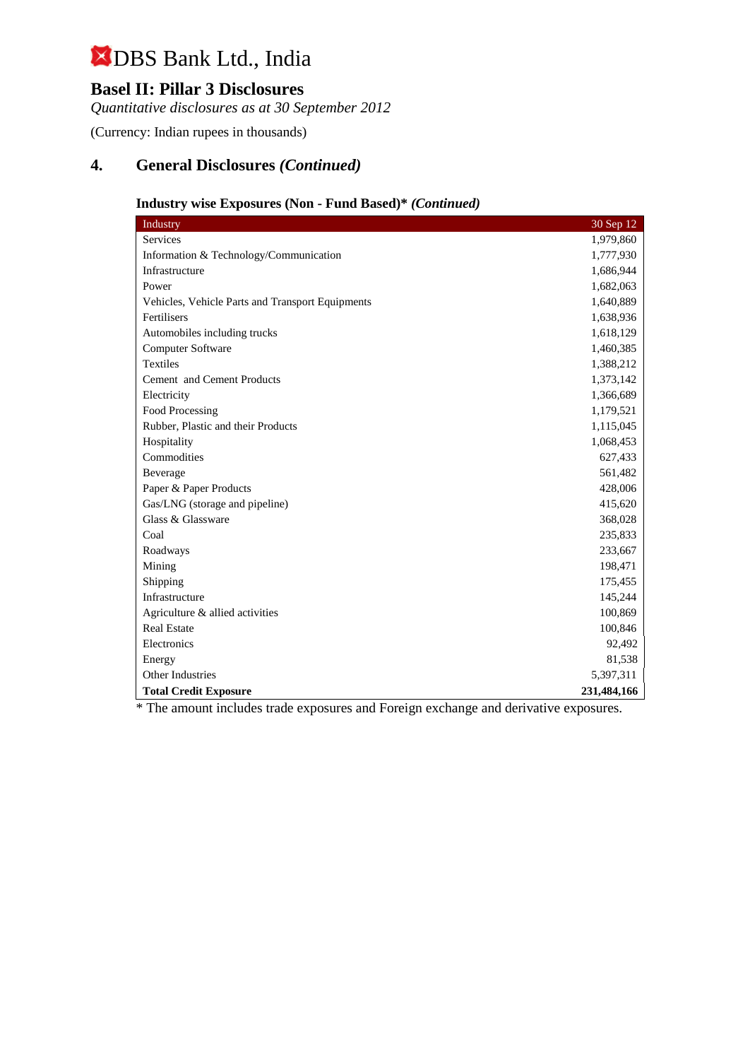## **Basel II: Pillar 3 Disclosures**

*Quantitative disclosures as at 30 September 2012*

(Currency: Indian rupees in thousands)

## **4. General Disclosures** *(Continued)*

## **Industry wise Exposures (Non - Fund Based)\*** *(Continued)*

| Industry                                         | 30 Sep 12   |
|--------------------------------------------------|-------------|
| Services                                         | 1,979,860   |
| Information & Technology/Communication           | 1,777,930   |
| Infrastructure                                   | 1,686,944   |
| Power                                            | 1,682,063   |
| Vehicles, Vehicle Parts and Transport Equipments | 1,640,889   |
| Fertilisers                                      | 1,638,936   |
| Automobiles including trucks                     | 1,618,129   |
| Computer Software                                | 1,460,385   |
| <b>Textiles</b>                                  | 1,388,212   |
| Cement and Cement Products                       | 1,373,142   |
| Electricity                                      | 1,366,689   |
| Food Processing                                  | 1,179,521   |
| Rubber, Plastic and their Products               | 1,115,045   |
| Hospitality                                      | 1,068,453   |
| Commodities                                      | 627,433     |
| Beverage                                         | 561,482     |
| Paper & Paper Products                           | 428,006     |
| Gas/LNG (storage and pipeline)                   | 415,620     |
| Glass & Glassware                                | 368,028     |
| Coal                                             | 235,833     |
| Roadways                                         | 233,667     |
| Mining                                           | 198,471     |
| Shipping                                         | 175,455     |
| Infrastructure                                   | 145,244     |
| Agriculture & allied activities                  | 100,869     |
| <b>Real Estate</b>                               | 100,846     |
| Electronics                                      | 92,492      |
| Energy                                           | 81,538      |
| Other Industries                                 | 5,397,311   |
| <b>Total Credit Exposure</b>                     | 231,484,166 |

\* The amount includes trade exposures and Foreign exchange and derivative exposures.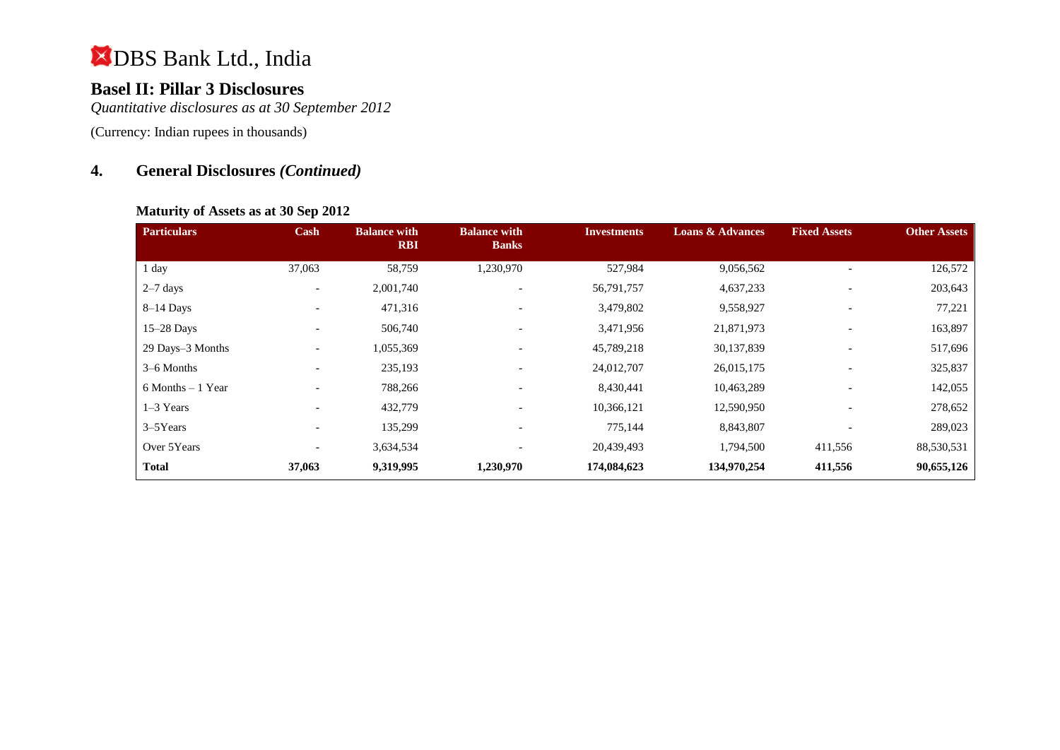## **Basel II: Pillar 3 Disclosures**

*Quantitative disclosures as at 30 September 2012*

(Currency: Indian rupees in thousands)

## **4. General Disclosures** *(Continued)*

#### **Maturity of Assets as at 30 Sep 2012**

| <b>Particulars</b>   | Cash                     | <b>Balance with</b><br><b>RBI</b> | <b>Balance with</b><br><b>Banks</b> | <b>Investments</b> | <b>Loans &amp; Advances</b> | <b>Fixed Assets</b>      | <b>Other Assets</b> |
|----------------------|--------------------------|-----------------------------------|-------------------------------------|--------------------|-----------------------------|--------------------------|---------------------|
| 1 day                | 37,063                   | 58,759                            | 1,230,970                           | 527,984            | 9,056,562                   |                          | 126,572             |
| $2-7$ days           | $\overline{\phantom{a}}$ | 2,001,740                         | $\overline{\phantom{a}}$            | 56,791,757         | 4,637,233                   | $\overline{\phantom{a}}$ | 203,643             |
| $8-14$ Days          | $\overline{\phantom{0}}$ | 471,316                           | $\qquad \qquad \blacksquare$        | 3,479,802          | 9,558,927                   | $\overline{\phantom{0}}$ | 77,221              |
| $15-28$ Days         |                          | 506,740                           | $\overline{\phantom{a}}$            | 3,471,956          | 21,871,973                  | $\overline{\phantom{0}}$ | 163,897             |
| 29 Days-3 Months     | $\overline{\phantom{a}}$ | 1,055,369                         | ۰                                   | 45,789,218         | 30,137,839                  |                          | 517,696             |
| 3–6 Months           | $\overline{\phantom{0}}$ | 235,193                           | $\overline{\phantom{a}}$            | 24,012,707         | 26,015,175                  | $\overline{\phantom{0}}$ | 325,837             |
| $6$ Months $-1$ Year | $\overline{\phantom{a}}$ | 788,266                           | $\overline{\phantom{a}}$            | 8,430,441          | 10,463,289                  | $\overline{\phantom{0}}$ | 142,055             |
| $1-3$ Years          | $\overline{\phantom{a}}$ | 432,779                           | ۰                                   | 10,366,121         | 12,590,950                  | $\overline{\phantom{a}}$ | 278,652             |
| $3-5$ Years          |                          | 135,299                           | $\overline{\phantom{0}}$            | 775,144            | 8,843,807                   | $\overline{\phantom{a}}$ | 289,023             |
| Over 5Years          | $\overline{\phantom{a}}$ | 3,634,534                         |                                     | 20,439,493         | 1,794,500                   | 411,556                  | 88,530,531          |
| <b>Total</b>         | 37,063                   | 9,319,995                         | 1,230,970                           | 174,084,623        | 134,970,254                 | 411,556                  | 90,655,126          |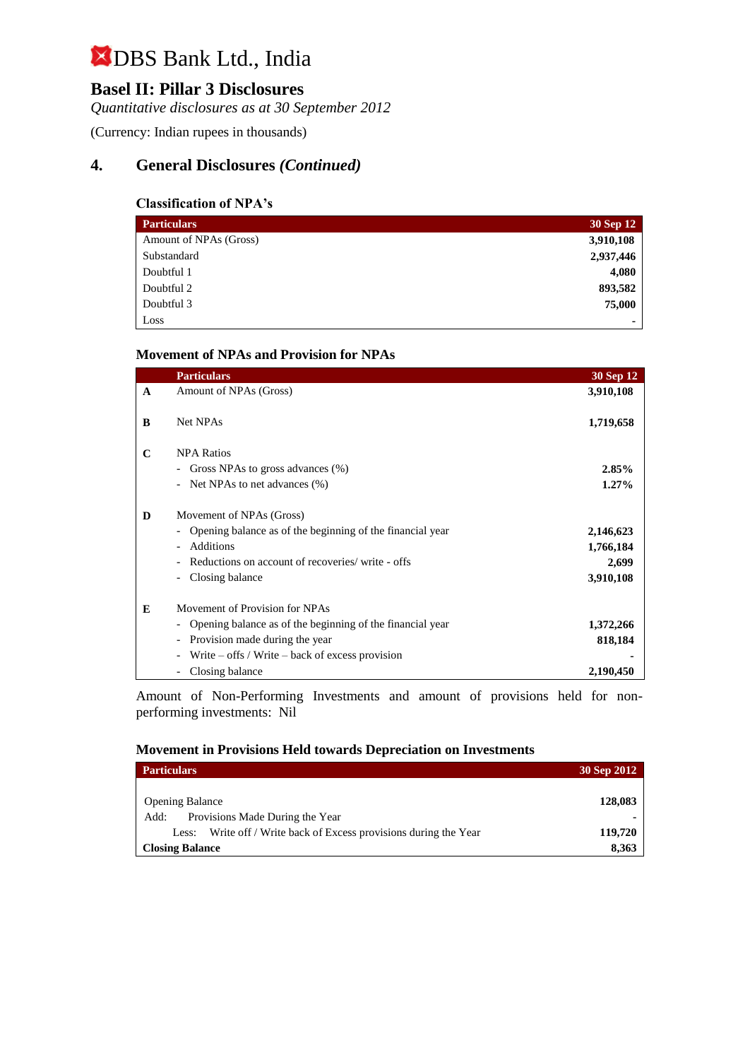## **Basel II: Pillar 3 Disclosures**

*Quantitative disclosures as at 30 September 2012*

(Currency: Indian rupees in thousands)

## **4. General Disclosures** *(Continued)*

#### **Classification of NPA's**

| <b>Particulars</b>     | 30 Sep 12 |
|------------------------|-----------|
| Amount of NPAs (Gross) | 3,910,108 |
| Substandard            | 2,937,446 |
| Doubtful 1             | 4,080     |
| Doubtful 2             | 893,582   |
| Doubtful 3             | 75,000    |
| Loss                   | ۰         |

#### **Movement of NPAs and Provision for NPAs**

|              | <b>Particulars</b>                                           | 30 Sep 12 |
|--------------|--------------------------------------------------------------|-----------|
| $\mathbf{A}$ | Amount of NPAs (Gross)                                       | 3,910,108 |
| B            | Net NPAs                                                     | 1,719,658 |
| $\mathbf C$  | <b>NPA Ratios</b>                                            |           |
|              | Gross NPAs to gross advances (%)<br>$\overline{\phantom{0}}$ | $2.85\%$  |
|              | Net NPAs to net advances (%)                                 | $1.27\%$  |
| D            | Movement of NPAs (Gross)                                     |           |
|              | Opening balance as of the beginning of the financial year    | 2,146,623 |
|              | Additions                                                    | 1,766,184 |
|              | Reductions on account of recoveries/ write - offs            | 2,699     |
|              | Closing balance                                              | 3,910,108 |
| E            | Movement of Provision for NPAs                               |           |
|              | Opening balance as of the beginning of the financial year    | 1,372,266 |
|              | Provision made during the year                               | 818,184   |
|              | Write $-$ offs / Write $-$ back of excess provision          |           |
|              | Closing balance                                              | 2,190,450 |

Amount of Non-Performing Investments and amount of provisions held for nonperforming investments:Nil

#### **Movement in Provisions Held towards Depreciation on Investments**

| <b>Particulars</b>                                                | 30 Sep 2012 |
|-------------------------------------------------------------------|-------------|
| <b>Opening Balance</b>                                            | 128,083     |
| Provisions Made During the Year<br>Add:                           |             |
| Less: Write off / Write back of Excess provisions during the Year | 119,720     |
| <b>Closing Balance</b>                                            | 8,363       |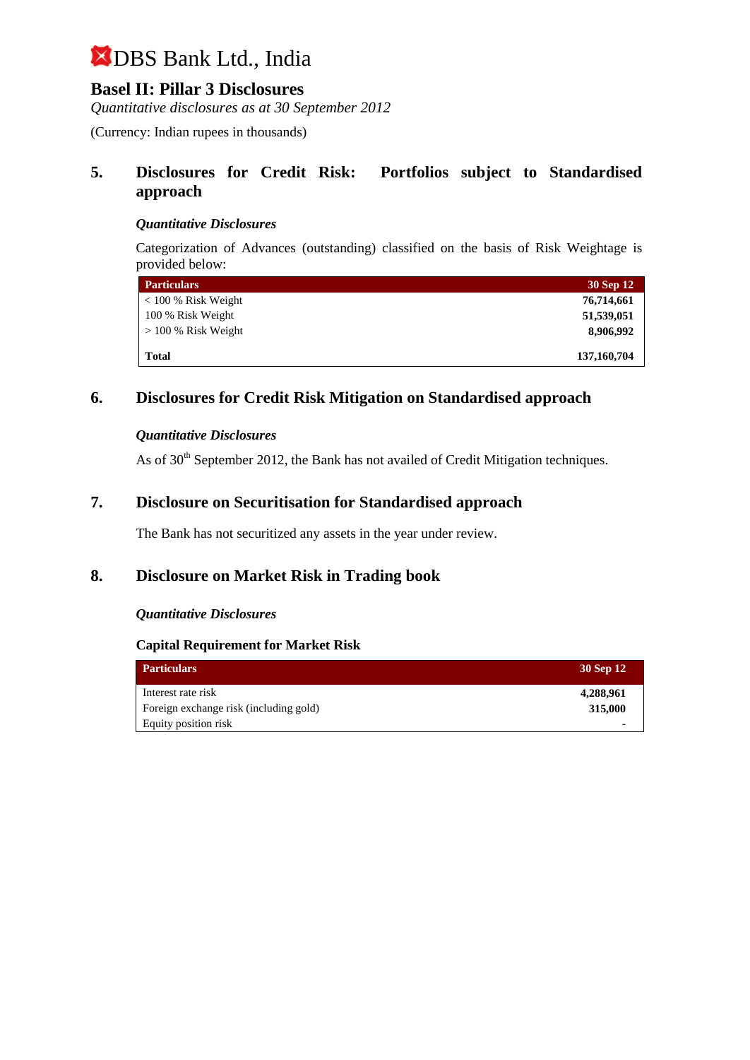## **Basel II: Pillar 3 Disclosures**

*Quantitative disclosures as at 30 September 2012*

(Currency: Indian rupees in thousands)

## **5. Disclosures for Credit Risk: Portfolios subject to Standardised approach**

#### *Quantitative Disclosures*

Categorization of Advances (outstanding) classified on the basis of Risk Weightage is provided below:

| <b>Particulars</b>    | 30 Sep 12   |
|-----------------------|-------------|
| $< 100 %$ Risk Weight | 76,714,661  |
| 100 % Risk Weight     | 51,539,051  |
| $> 100\%$ Risk Weight | 8,906,992   |
| Total                 | 137,160,704 |

## **6. Disclosures for Credit Risk Mitigation on Standardised approach**

#### *Quantitative Disclosures*

As of 30<sup>th</sup> September 2012, the Bank has not availed of Credit Mitigation techniques.

### **7. Disclosure on Securitisation for Standardised approach**

The Bank has not securitized any assets in the year under review.

### **8. Disclosure on Market Risk in Trading book**

#### *Quantitative Disclosures*

#### **Capital Requirement for Market Risk**

| <b>Particulars</b>                     | 30 Sep 12 |
|----------------------------------------|-----------|
| Interest rate risk                     | 4,288,961 |
| Foreign exchange risk (including gold) | 315,000   |
| Equity position risk                   |           |